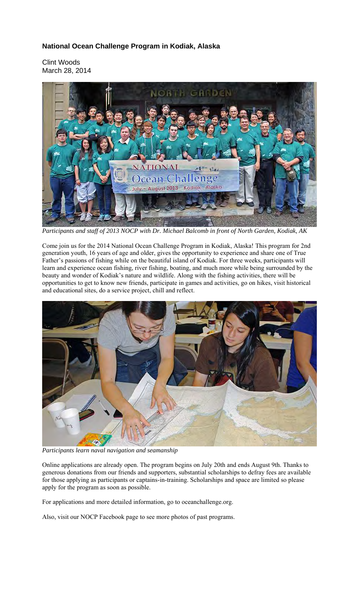## **National Ocean Challenge Program in Kodiak, Alaska**

Clint Woods March 28, 2014



*Participants and staff of 2013 NOCP with Dr. Michael Balcomb in front of North Garden, Kodiak, AK* 

Come join us for the 2014 National Ocean Challenge Program in Kodiak, Alaska! This program for 2nd generation youth, 16 years of age and older, gives the opportunity to experience and share one of True Father's passions of fishing while on the beautiful island of Kodiak. For three weeks, participants will learn and experience ocean fishing, river fishing, boating, and much more while being surrounded by the beauty and wonder of Kodiak's nature and wildlife. Along with the fishing activities, there will be opportunities to get to know new friends, participate in games and activities, go on hikes, visit historical and educational sites, do a service project, chill and reflect.



*Participants learn naval navigation and seamanship* 

Online applications are already open. The program begins on July 20th and ends August 9th. Thanks to generous donations from our friends and supporters, substantial scholarships to defray fees are available for those applying as participants or captains-in-training. Scholarships and space are limited so please apply for the program as soon as possible.

For applications and more detailed information, go to oceanchallenge.org.

Also, visit our NOCP Facebook page to see more photos of past programs.